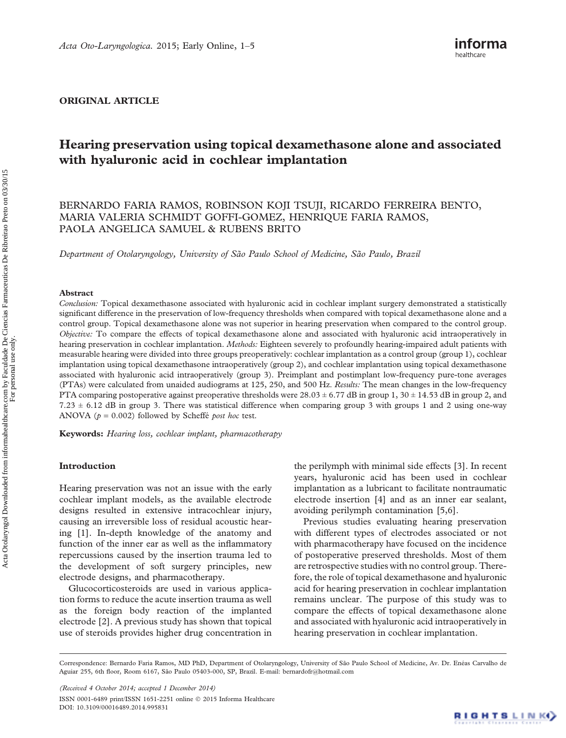#### ORIGINAL ARTICLE

# Hearing preservation using topical dexamethasone alone and associated with hyaluronic acid in cochlear implantation

## BERNARDO FARIA RAMOS, ROBINSON KOJI TSUJI, RICARDO FERREIRA BENTO, MARIA VALERIA SCHMIDT GOFFI-GOMEZ, HENRIQUE FARIA RAMOS, PAOLA ANGELICA SAMUEL & RUBENS BRITO

Department of Otolaryngology, University of São Paulo School of Medicine, São Paulo, Brazil

#### Abstract

Conclusion: Topical dexamethasone associated with hyaluronic acid in cochlear implant surgery demonstrated a statistically significant difference in the preservation of low-frequency thresholds when compared with topical dexamethasone alone and a control group. Topical dexamethasone alone was not superior in hearing preservation when compared to the control group. Objective: To compare the effects of topical dexamethasone alone and associated with hyaluronic acid intraoperatively in hearing preservation in cochlear implantation. Methods: Eighteen severely to profoundly hearing-impaired adult patients with measurable hearing were divided into three groups preoperatively: cochlear implantation as a control group (group 1), cochlear implantation using topical dexamethasone intraoperatively (group 2), and cochlear implantation using topical dexamethasone associated with hyaluronic acid intraoperatively (group 3). Preimplant and postimplant low-frequency pure-tone averages (PTAs) were calculated from unaided audiograms at 125, 250, and 500 Hz. Results: The mean changes in the low-frequency PTA comparing postoperative against preoperative thresholds were  $28.03 \pm 6.77$  dB in group 1,  $30 \pm 14.53$  dB in group 2, and  $7.23 \pm 6.12$  dB in group 3. There was statistical difference when comparing group 3 with groups 1 and 2 using one-way ANOVA ( $p = 0.002$ ) followed by Scheffé *post hoc* test.

Keywords: Hearing loss, cochlear implant, pharmacotherapy

#### Introduction

Hearing preservation was not an issue with the early cochlear implant models, as the available electrode designs resulted in extensive intracochlear injury, causing an irreversible loss of residual acoustic hearing [[1](#page-4-0)]. In-depth knowledge of the anatomy and function of the inner ear as well as the inflammatory repercussions caused by the insertion trauma led to the development of soft surgery principles, new electrode designs, and pharmacotherapy.

Glucocorticosteroids are used in various application forms to reduce the acute insertion trauma as well as the foreign body reaction of the implanted electrode [\[2\]](#page-4-0). A previous study has shown that topical use of steroids provides higher drug concentration in

the perilymph with minimal side effects [\[3\]](#page-4-0). In recent years, hyaluronic acid has been used in cochlear implantation as a lubricant to facilitate nontraumatic electrode insertion [[4](#page-4-0)] and as an inner ear sealant, avoiding perilymph contamination [[5,6](#page-4-0)].

Previous studies evaluating hearing preservation with different types of electrodes associated or not with pharmacotherapy have focused on the incidence of postoperative preserved thresholds. Most of them are retrospective studies with no control group. Therefore, the role of topical dexamethasone and hyaluronic acid for hearing preservation in cochlear implantation remains unclear. The purpose of this study was to compare the effects of topical dexamethasone alone and associated with hyaluronic acid intraoperatively in hearing preservation in cochlear implantation.

(Received 4 October 2014; accepted 1 December 2014) ISSN 0001-6489 print/ISSN 1651-2251 online © 2015 Informa Healthcare DOI: 10.3109/00016489.2014.995831

Correspondence: Bernardo Faria Ramos, MD PhD, Department of Otolaryngology, University of São Paulo School of Medicine, Av. Dr. Enéas Carvalho de Aguiar 255, 6th floor, Room 6167, São Paulo 05403-000, SP, Brazil. E-mail: [bernardofr@hotmail.com](mailto:bernardofr@hotmail.com)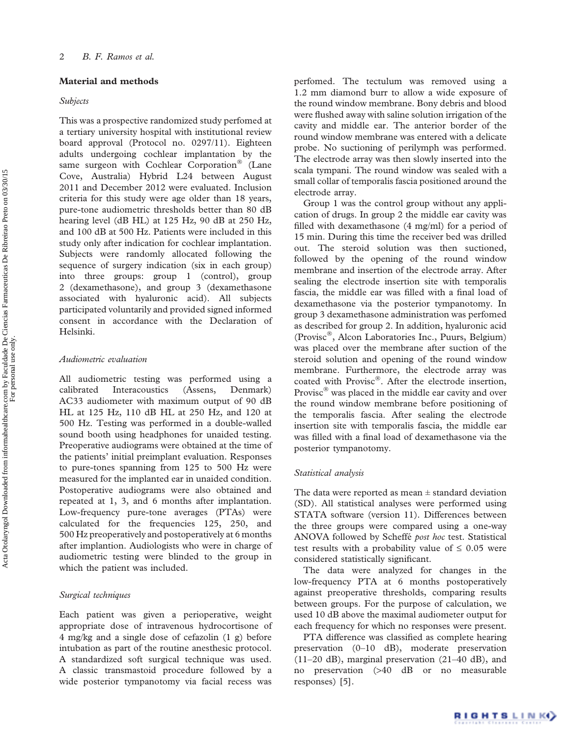## Material and methods

#### Subjects

This was a prospective randomized study perfomed at a tertiary university hospital with institutional review board approval (Protocol no. 0297/11). Eighteen adults undergoing cochlear implantation by the same surgeon with Cochlear Corporation<sup>®</sup> (Lane Cove, Australia) Hybrid L24 between August 2011 and December 2012 were evaluated. Inclusion criteria for this study were age older than 18 years, pure-tone audiometric thresholds better than 80 dB hearing level (dB HL) at 125 Hz, 90 dB at 250 Hz, and 100 dB at 500 Hz. Patients were included in this study only after indication for cochlear implantation. Subjects were randomly allocated following the sequence of surgery indication (six in each group) into three groups: group 1 (control), group 2 (dexamethasone), and group 3 (dexamethasone associated with hyaluronic acid). All subjects participated voluntarily and provided signed informed consent in accordance with the Declaration of Helsinki.

## Audiometric evaluation

All audiometric testing was performed using a calibrated Interacoustics (Assens, Denmark) AC33 audiometer with maximum output of 90 dB HL at 125 Hz, 110 dB HL at 250 Hz, and 120 at 500 Hz. Testing was performed in a double-walled sound booth using headphones for unaided testing. Preoperative audiograms were obtained at the time of the patients' initial preimplant evaluation. Responses to pure-tones spanning from 125 to 500 Hz were measured for the implanted ear in unaided condition. Postoperative audiograms were also obtained and repeated at 1, 3, and 6 months after implantation. Low-frequency pure-tone averages (PTAs) were calculated for the frequencies 125, 250, and 500 Hz preoperatively and postoperatively at 6 months after implantion. Audiologists who were in charge of audiometric testing were blinded to the group in which the patient was included.

## Surgical techniques

Each patient was given a perioperative, weight appropriate dose of intravenous hydrocortisone of 4 mg/kg and a single dose of cefazolin (1 g) before intubation as part of the routine anesthesic protocol. A standardized soft surgical technique was used. A classic transmastoid procedure followed by a wide posterior tympanotomy via facial recess was

perfomed. The tectulum was removed using a 1.2 mm diamond burr to allow a wide exposure of the round window membrane. Bony debris and blood were flushed away with saline solution irrigation of the cavity and middle ear. The anterior border of the round window membrane was entered with a delicate probe. No suctioning of perilymph was performed. The electrode array was then slowly inserted into the scala tympani. The round window was sealed with a small collar of temporalis fascia positioned around the electrode array.

Group 1 was the control group without any application of drugs. In group 2 the middle ear cavity was filled with dexamethasone (4 mg/ml) for a period of 15 min. During this time the receiver bed was drilled out. The steroid solution was then suctioned, followed by the opening of the round window membrane and insertion of the electrode array. After sealing the electrode insertion site with temporalis fascia, the middle ear was filled with a final load of dexamethasone via the posterior tympanotomy. In group 3 dexamethasone administration was perfomed as described for group 2. In addition, hyaluronic acid (Provisc<sup>®</sup>, Alcon Laboratories Inc., Puurs, Belgium) was placed over the membrane after suction of the steroid solution and opening of the round window membrane. Furthermore, the electrode array was coated with Provisc®. After the electrode insertion, Provisc® was placed in the middle ear cavity and over the round window membrane before positioning of the temporalis fascia. After sealing the electrode insertion site with temporalis fascia, the middle ear was filled with a final load of dexamethasone via the posterior tympanotomy.

#### Statistical analysis

The data were reported as mean  $\pm$  standard deviation (SD). All statistical analyses were performed using STATA software (version 11). Differences between the three groups were compared using a one-way ANOVA followed by Scheffé post hoc test. Statistical test results with a probability value of  $\leq 0.05$  were considered statistically significant.

The data were analyzed for changes in the low-frequency PTA at 6 months postoperatively against preoperative thresholds, comparing results between groups. For the purpose of calculation, we used 10 dB above the maximal audiometer output for each frequency for which no responses were present.

PTA difference was classified as complete hearing preservation (0–10 dB), moderate preservation (11–20 dB), marginal preservation (21–40 dB), and no preservation (>40 dB or no measurable responses) [\[5\]](#page-4-0).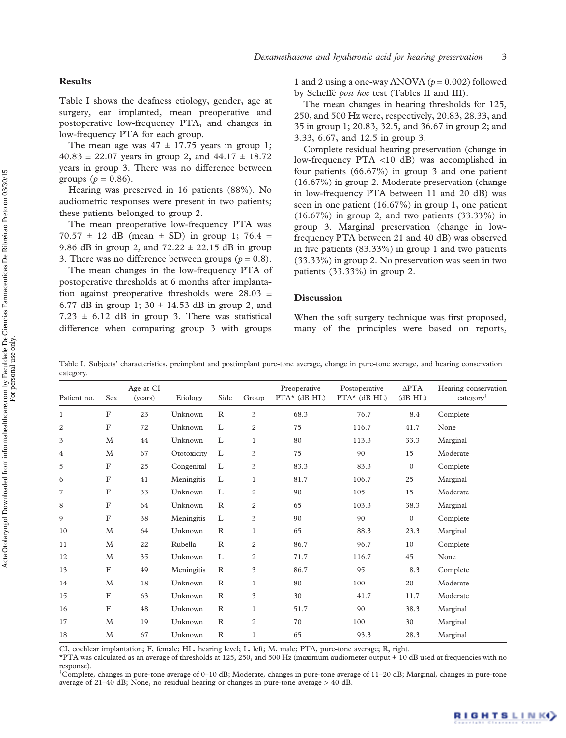#### **Results**

Table I shows the deafness etiology, gender, age at surgery, ear implanted, mean preoperative and postoperative low-frequency PTA, and changes in low-frequency PTA for each group.

The mean age was  $47 \pm 17.75$  years in group 1;  $40.83 \pm 22.07$  years in group 2, and  $44.17 \pm 18.72$ years in group 3. There was no difference between groups ( $p = 0.86$ ).

Hearing was preserved in 16 patients (88%). No audiometric responses were present in two patients; these patients belonged to group 2.

The mean preoperative low-frequency PTA was  $70.57 \pm 12$  dB (mean  $\pm$  SD) in group 1; 76.4  $\pm$ 9.86 dB in group 2, and  $72.22 \pm 22.15$  dB in group 3. There was no difference between groups ( $p = 0.8$ ).

The mean changes in the low-frequency PTA of postoperative thresholds at 6 months after implantation against preoperative thresholds were 28.03  $\pm$ 6.77 dB in group 1;  $30 \pm 14.53$  dB in group 2, and  $7.23 \pm 6.12$  dB in group 3. There was statistical difference when comparing group 3 with groups

1 and 2 using a one-way ANOVA ( $p = 0.002$ ) followed by Scheffé post hoc test ([Tables II](#page-3-0) and [III\)](#page-3-0).

The mean changes in hearing thresholds for 125, 250, and 500 Hz were, respectively, 20.83, 28.33, and 35 in group 1; 20.83, 32.5, and 36.67 in group 2; and 3.33, 6.67, and 12.5 in group 3.

Complete residual hearing preservation (change in low-frequency PTA <10 dB) was accomplished in four patients (66.67%) in group 3 and one patient (16.67%) in group 2. Moderate preservation (change in low-frequency PTA between 11 and 20 dB) was seen in one patient (16.67%) in group 1, one patient  $(16.67\%)$  in group 2, and two patients  $(33.33\%)$  in group 3. Marginal preservation (change in lowfrequency PTA between 21 and 40 dB) was observed in five patients (83.33%) in group 1 and two patients (33.33%) in group 2. No preservation was seen in two patients (33.33%) in group 2.

#### **Discussion**

When the soft surgery technique was first proposed, many of the principles were based on reports,

Table I. Subjects' characteristics, preimplant and postimplant pure-tone average, change in pure-tone average, and hearing conservation category.

| Patient no.  | Sex              | Age at CI<br>(years) | Etiology    | Side         | Group            | Preoperative<br>$PTA^{\star}$ (dB HL) | Postoperative<br>$PTA^{\star}$ (dB HL) | $\triangle PTA$<br>(dB HL) | Hearing conservation<br>category <sup>†</sup> |
|--------------|------------------|----------------------|-------------|--------------|------------------|---------------------------------------|----------------------------------------|----------------------------|-----------------------------------------------|
| $\mathbf{1}$ | F                | 23                   | Unknown     | $\mathbb{R}$ | 3                | 68.3                                  | 76.7                                   | 8.4                        | Complete                                      |
| 2            | $\mathbf F$      | 72                   | Unknown     | L            | $\overline{2}$   | 75                                    | 116.7                                  | 41.7                       | None                                          |
| 3            | $\mathbf{M}$     | 44                   | Unknown     | L            | 1                | 80                                    | 113.3                                  | 33.3                       | Marginal                                      |
| 4            | M                | 67                   | Ototoxicity | L            | 3                | 75                                    | 90                                     | 15                         | Moderate                                      |
| 5            | F                | 25                   | Congenital  | L            | 3                | 83.3                                  | 83.3                                   | $\mathbf{0}$               | Complete                                      |
| 6            | $\mathbf F$      | 41                   | Meningitis  | L            | 1                | 81.7                                  | 106.7                                  | 25                         | Marginal                                      |
| 7            | F                | 33                   | Unknown     | L            | $\boldsymbol{2}$ | 90                                    | 105                                    | 15                         | Moderate                                      |
| 8            | $\boldsymbol{F}$ | 64                   | Unknown     | $\mathbb{R}$ | $\mathbf{2}$     | 65                                    | 103.3                                  | 38.3                       | Marginal                                      |
| 9            | $\mathbf F$      | 38                   | Meningitis  | L            | 3                | 90                                    | 90                                     | $\mathbf{0}$               | Complete                                      |
| 10           | M                | 64                   | Unknown     | $\mathbb{R}$ | 1                | 65                                    | 88.3                                   | 23.3                       | Marginal                                      |
| 11           | M                | 22                   | Rubella     | $\mathbb{R}$ | $\overline{2}$   | 86.7                                  | 96.7                                   | 10                         | Complete                                      |
| 12           | M                | 35                   | Unknown     | L            | $\overline{c}$   | 71.7                                  | 116.7                                  | 45                         | None                                          |
| 13           | $\mathbf F$      | 49                   | Meningitis  | $\mathbb{R}$ | 3                | 86.7                                  | 95                                     | 8.3                        | Complete                                      |
| 14           | $\mathbf{M}$     | 18                   | Unknown     | $\mathbb{R}$ | $\mathbf{1}$     | 80                                    | 100                                    | 20                         | Moderate                                      |
| 15           | $\boldsymbol{F}$ | 63                   | Unknown     | $\mathbb{R}$ | 3                | 30                                    | 41.7                                   | 11.7                       | Moderate                                      |
| 16           | F                | 48                   | Unknown     | $\mathbb{R}$ | $\mathbf{1}$     | 51.7                                  | 90                                     | 38.3                       | Marginal                                      |
| 17           | M                | 19                   | Unknown     | $\mathbb{R}$ | $\mathbf{2}$     | 70                                    | 100                                    | 30                         | Marginal                                      |
| 18           | M                | 67                   | Unknown     | $\mathbb{R}$ | $\mathbf{1}$     | 65                                    | 93.3                                   | 28.3                       | Marginal                                      |

CI, cochlear implantation; F, female; HL, hearing level; L, left; M, male; PTA, pure-tone average; R, right.

\*PTA was calculated as an average of thresholds at 125, 250, and 500 Hz (maximum audiometer output + 10 dB used at frequencies with no response).

† Complete, changes in pure-tone average of 0–10 dB; Moderate, changes in pure-tone average of 11–20 dB; Marginal, changes in pure-tone average of 21–40 dB; None, no residual hearing or changes in pure-tone average  $> 40$  dB.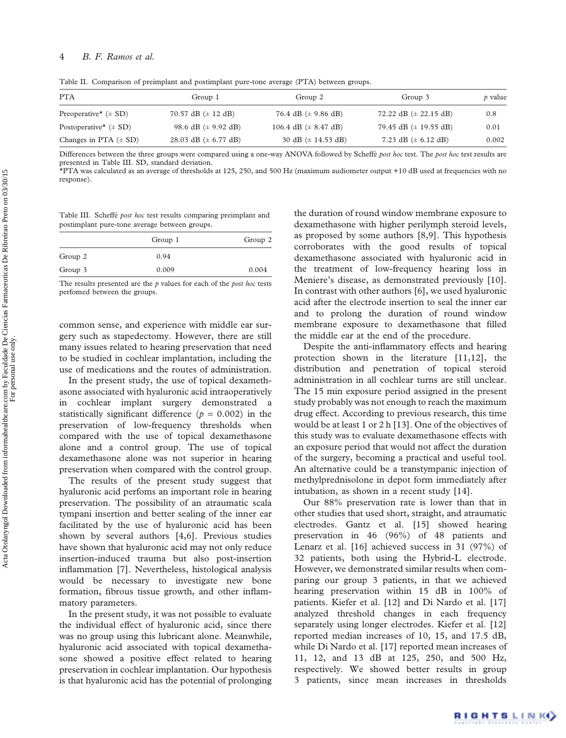## <span id="page-3-0"></span>4 B. F. Ramos et al.

Table II. Comparison of preimplant and postimplant pure-tone average (PTA) between groups.

| <b>PTA</b>                            | Group 1                         | Group 2                          | Group 3                           | $\dot{p}$ value |
|---------------------------------------|---------------------------------|----------------------------------|-----------------------------------|-----------------|
| Preoperative <sup>*</sup> $(\pm SD)$  | 70.57 dB $(\pm 12$ dB)          | 76.4 dB $(\pm 9.86$ dB)          | 72.22 dB $(\pm 22.15 \text{ dB})$ | 0.8             |
| Postoperative <sup>*</sup> $(\pm SD)$ | 98.6 dB $(\pm 9.92 \text{ dB})$ | 106.4 dB $(\pm 8.47 \text{ dB})$ | 79.45 dB $(\pm 19.55$ dB)         | 0.01            |
| Changes in PTA $(\pm SD)$             | 28.03 dB ( $\pm$ 6.77 dB)       | 30 dB $(\pm 14.53$ dB)           | 7.23 dB $(\pm 6.12$ dB)           | 0.002           |

Differences between the three groups were compared using a one-way ANOVA followed by Scheffé post hoc test. The post hoc test results are presented in Table III. SD, standard deviation.

\*PTA was calculated as an average of thresholds at 125, 250, and 500 Hz (maximum audiometer output +10 dB used at frequencies with no response).

Table III. Scheffé post hoc test results comparing preimplant and postimplant pure-tone average between groups.

|         | Group 1 | Group 2 |
|---------|---------|---------|
| Group 2 | 0.94    |         |
| Group 3 | 0.009   | 0.004   |

The results presented are the  $p$  values for each of the *post hoc* tests perfomed between the groups.

common sense, and experience with middle ear surgery such as stapedectomy. However, there are still many issues related to hearing preservation that need to be studied in cochlear implantation, including the use of medications and the routes of administration.

In the present study, the use of topical dexamethasone associated with hyaluronic acid intraoperatively in cochlear implant surgery demonstrated statistically significant difference ( $p = 0.002$ ) in the preservation of low-frequency thresholds when compared with the use of topical dexamethasone alone and a control group. The use of topical dexamethasone alone was not superior in hearing preservation when compared with the control group.

The results of the present study suggest that hyaluronic acid perfoms an important role in hearing preservation. The possibility of an atraumatic scala tympani insertion and better sealing of the inner ear facilitated by the use of hyaluronic acid has been shown by several authors [\[4,6](#page-4-0)]. Previous studies have shown that hyaluronic acid may not only reduce insertion-induced trauma but also post-insertion inflammation [\[7\]](#page-4-0). Nevertheless, histological analysis would be necessary to investigate new bone formation, fibrous tissue growth, and other inflammatory parameters.

In the present study, it was not possible to evaluate the individual effect of hyaluronic acid, since there was no group using this lubricant alone. Meanwhile, hyaluronic acid associated with topical dexamethasone showed a positive effect related to hearing preservation in cochlear implantation. Our hypothesis is that hyaluronic acid has the potential of prolonging

the duration of round window membrane exposure to dexamethasone with higher perilymph steroid levels, as proposed by some authors [[8,9\]](#page-4-0). This hypothesis corroborates with the good results of topical dexamethasone associated with hyaluronic acid in the treatment of low-frequency hearing loss in Meniere's disease, as demonstrated previously [\[10\]](#page-4-0). In contrast with other authors [\[6\]](#page-4-0), we used hyaluronic acid after the electrode insertion to seal the inner ear and to prolong the duration of round window membrane exposure to dexamethasone that filled the middle ear at the end of the procedure.

Despite the anti-inflammatory effects and hearing protection shown in the literature [\[11,12\]](#page-4-0), the distribution and penetration of topical steroid administration in all cochlear turns are still unclear. The 15 min exposure period assigned in the present study probably was not enough to reach the maximum drug effect. According to previous research, this time would be at least 1 or 2 h [[13\]](#page-4-0). One of the objectives of this study was to evaluate dexamethasone effects with an exposure period that would not affect the duration of the surgery, becoming a practical and useful tool. An alternative could be a transtympanic injection of methylprednisolone in depot form immediately after intubation, as shown in a recent study [[14\]](#page-4-0).

Our 88% preservation rate is lower than that in other studies that used short, straight, and atraumatic electrodes. Gantz et al. [\[15\]](#page-4-0) showed hearing preservation in 46 (96%) of 48 patients and Lenarz et al. [\[16](#page-4-0)] achieved success in 31 (97%) of 32 patients, both using the Hybrid-L electrode. However, we demonstrated similar results when comparing our group 3 patients, in that we achieved hearing preservation within 15 dB in 100% of patients. Kiefer et al. [[12\]](#page-4-0) and Di Nardo et al. [\[17\]](#page-4-0) analyzed threshold changes in each frequency separately using longer electrodes. Kiefer et al. [\[12\]](#page-4-0) reported median increases of 10, 15, and 17.5 dB, while Di Nardo et al. [\[17](#page-4-0)] reported mean increases of 11, 12, and 13 dB at 125, 250, and 500 Hz, respectively. We showed better results in group 3 patients, since mean increases in thresholds